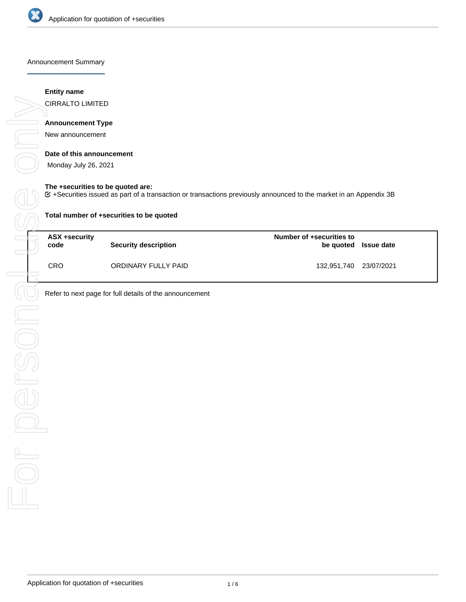

Announcement Summary

#### **Entity name**

CIRRALTO LIMITED

# **Announcement Type**

New announcement

## **Date of this announcement**

Monday July 26, 2021

#### **The +securities to be quoted are:**

+Securities issued as part of a transaction or transactions previously announced to the market in an Appendix 3B

| Total number of +securities to be quoted |                             |                                       |                   |  |  |
|------------------------------------------|-----------------------------|---------------------------------------|-------------------|--|--|
| ASX +security<br>code                    | <b>Security description</b> | Number of +securities to<br>be quoted | <b>Issue date</b> |  |  |
| <b>CRO</b>                               | ORDINARY FULLY PAID         | 132,951,740 23/07/2021                |                   |  |  |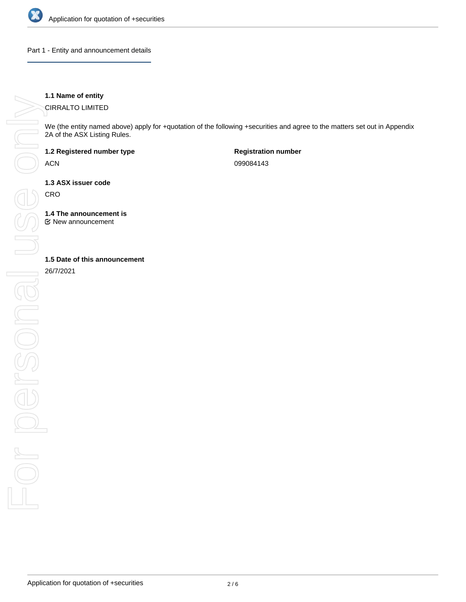

Part 1 - Entity and announcement details

## **1.1 Name of entity**

CIRRALTO LIMITED

We (the entity named above) apply for +quotation of the following +securities and agree to the matters set out in Appendix 2A of the ASX Listing Rules.

**1.2 Registered number type**

ACN

**Registration number** 099084143

**1.3 ASX issuer code**

**CRO** 

**1.4 The announcement is**

New announcement

26/7/2021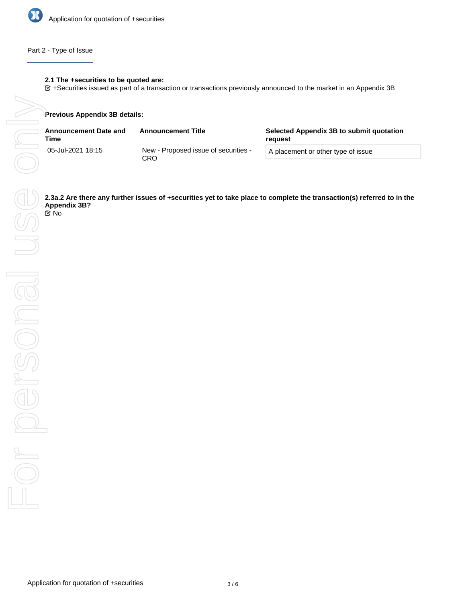

## Part 2 - Type of Issue

## **2.1 The +securities to be quoted are:**

+Securities issued as part of a transaction or transactions previously announced to the market in an Appendix 3B

#### **Previous Appendix 3B details:**

| <b>Announcement Date and</b><br>Time | <b>Announcement Title</b>                   | Selected Appendix 3B to submit quotation<br>reauest |
|--------------------------------------|---------------------------------------------|-----------------------------------------------------|
| 05-Jul-2021 18:15                    | New - Proposed issue of securities -<br>CRO | A placement or other type of issue                  |

**Appendix 3B?** No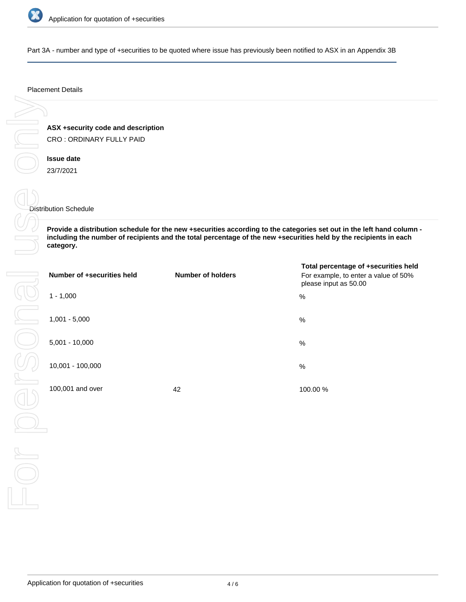

Part 3A - number and type of +securities to be quoted where issue has previously been notified to ASX in an Appendix 3B

#### Placement Details

**ASX +security code and description** CRO : ORDINARY FULLY PAID

**Issue date** 23/7/2021

Distribution Schedule

**Provide a distribution schedule for the new +securities according to the categories set out in the left hand column including the number of recipients and the total percentage of the new +securities held by the recipients in each category.**

| Number of +securities held | <b>Number of holders</b> | Total percentage of +securities held<br>For example, to enter a value of 50%<br>please input as 50.00 |
|----------------------------|--------------------------|-------------------------------------------------------------------------------------------------------|
| $1 - 1,000$                |                          | %                                                                                                     |
| $1,001 - 5,000$            |                          | %                                                                                                     |
| $5,001 - 10,000$           |                          | $\%$                                                                                                  |
| 10,001 - 100,000           |                          | %                                                                                                     |
| 100,001 and over           | 42                       | 100.00 %                                                                                              |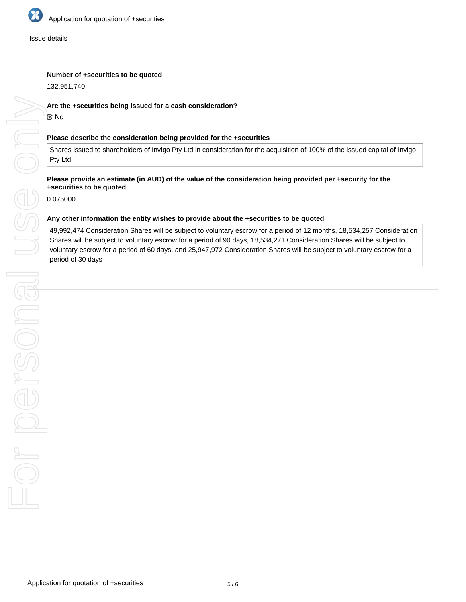

#### Issue details

## **Number of +securities to be quoted**

132,951,740

## **Are the +securities being issued for a cash consideration?**

No

#### **Please describe the consideration being provided for the +securities**

Shares issued to shareholders of Invigo Pty Ltd in consideration for the acquisition of 100% of the issued capital of Invigo Pty Ltd.

## **Please provide an estimate (in AUD) of the value of the consideration being provided per +security for the +securities to be quoted**

0.075000

#### **Any other information the entity wishes to provide about the +securities to be quoted**

49,992,474 Consideration Shares will be subject to voluntary escrow for a period of 12 months, 18,534,257 Consideration Shares will be subject to voluntary escrow for a period of 90 days, 18,534,271 Consideration Shares will be subject to voluntary escrow for a period of 60 days, and 25,947,972 Consideration Shares will be subject to voluntary escrow for a period of 30 days